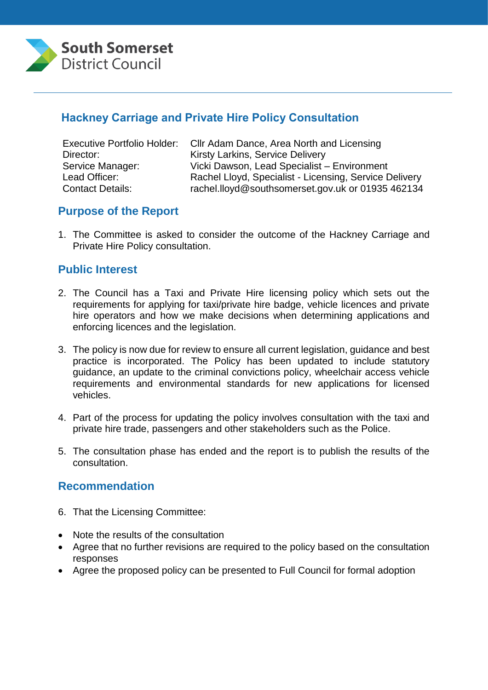

# **Hackney Carriage and Private Hire Policy Consultation**

|                         | Executive Portfolio Holder: Cllr Adam Dance, Area North and Licensing |
|-------------------------|-----------------------------------------------------------------------|
| Director:               | <b>Kirsty Larkins, Service Delivery</b>                               |
| Service Manager:        | Vicki Dawson, Lead Specialist - Environment                           |
| Lead Officer:           | Rachel Lloyd, Specialist - Licensing, Service Delivery                |
| <b>Contact Details:</b> | rachel.lloyd@southsomerset.gov.uk or 01935 462134                     |

# **Purpose of the Report**

1. The Committee is asked to consider the outcome of the Hackney Carriage and Private Hire Policy consultation.

#### **Public Interest**

- 2. The Council has a Taxi and Private Hire licensing policy which sets out the requirements for applying for taxi/private hire badge, vehicle licences and private hire operators and how we make decisions when determining applications and enforcing licences and the legislation.
- 3. The policy is now due for review to ensure all current legislation, guidance and best practice is incorporated. The Policy has been updated to include statutory guidance, an update to the criminal convictions policy, wheelchair access vehicle requirements and environmental standards for new applications for licensed vehicles.
- 4. Part of the process for updating the policy involves consultation with the taxi and private hire trade, passengers and other stakeholders such as the Police.
- 5. The consultation phase has ended and the report is to publish the results of the consultation.

#### **Recommendation**

- 6. That the Licensing Committee:
- Note the results of the consultation
- Agree that no further revisions are required to the policy based on the consultation responses
- Agree the proposed policy can be presented to Full Council for formal adoption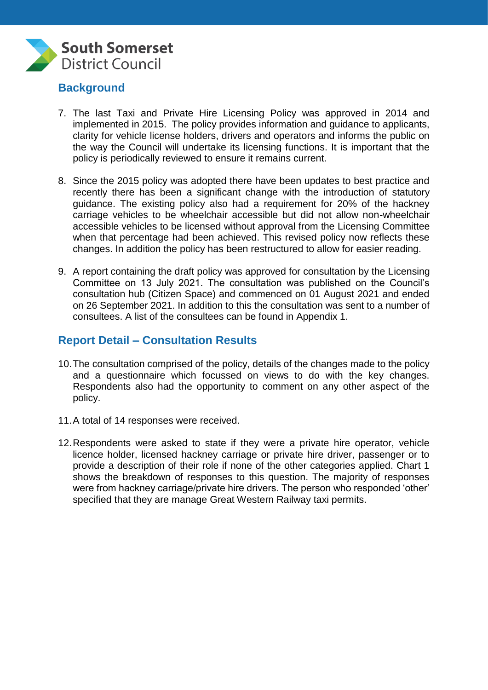

# **Background**

- 7. The last Taxi and Private Hire Licensing Policy was approved in 2014 and implemented in 2015. The policy provides information and guidance to applicants, clarity for vehicle license holders, drivers and operators and informs the public on the way the Council will undertake its licensing functions. It is important that the policy is periodically reviewed to ensure it remains current.
- 8. Since the 2015 policy was adopted there have been updates to best practice and recently there has been a significant change with the introduction of statutory guidance. The existing policy also had a requirement for 20% of the hackney carriage vehicles to be wheelchair accessible but did not allow non-wheelchair accessible vehicles to be licensed without approval from the Licensing Committee when that percentage had been achieved. This revised policy now reflects these changes. In addition the policy has been restructured to allow for easier reading.
- 9. A report containing the draft policy was approved for consultation by the Licensing Committee on 13 July 2021. The consultation was published on the Council's consultation hub (Citizen Space) and commenced on 01 August 2021 and ended on 26 September 2021. In addition to this the consultation was sent to a number of consultees. A list of the consultees can be found in Appendix 1.

# **Report Detail – Consultation Results**

- 10.The consultation comprised of the policy, details of the changes made to the policy and a questionnaire which focussed on views to do with the key changes. Respondents also had the opportunity to comment on any other aspect of the policy.
- 11.A total of 14 responses were received.
- 12.Respondents were asked to state if they were a private hire operator, vehicle licence holder, licensed hackney carriage or private hire driver, passenger or to provide a description of their role if none of the other categories applied. Chart 1 shows the breakdown of responses to this question. The majority of responses were from hackney carriage/private hire drivers. The person who responded 'other' specified that they are manage Great Western Railway taxi permits.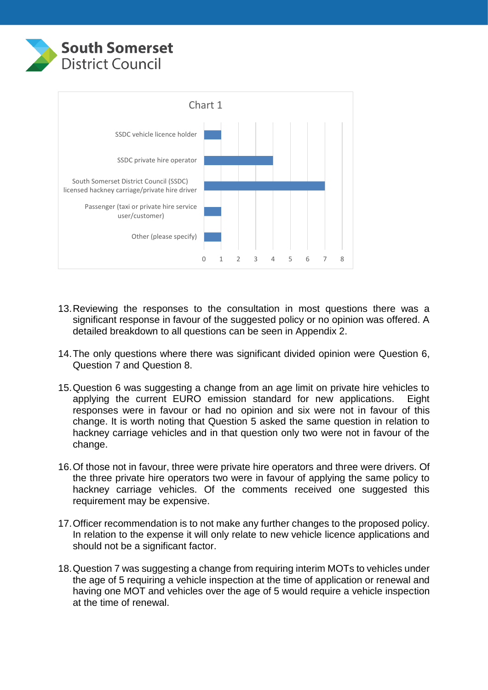



- 13.Reviewing the responses to the consultation in most questions there was a significant response in favour of the suggested policy or no opinion was offered. A detailed breakdown to all questions can be seen in Appendix 2.
- 14.The only questions where there was significant divided opinion were Question 6, Question 7 and Question 8.
- 15.Question 6 was suggesting a change from an age limit on private hire vehicles to applying the current EURO emission standard for new applications. Eight responses were in favour or had no opinion and six were not in favour of this change. It is worth noting that Question 5 asked the same question in relation to hackney carriage vehicles and in that question only two were not in favour of the change.
- 16.Of those not in favour, three were private hire operators and three were drivers. Of the three private hire operators two were in favour of applying the same policy to hackney carriage vehicles. Of the comments received one suggested this requirement may be expensive.
- 17.Officer recommendation is to not make any further changes to the proposed policy. In relation to the expense it will only relate to new vehicle licence applications and should not be a significant factor.
- 18.Question 7 was suggesting a change from requiring interim MOTs to vehicles under the age of 5 requiring a vehicle inspection at the time of application or renewal and having one MOT and vehicles over the age of 5 would require a vehicle inspection at the time of renewal.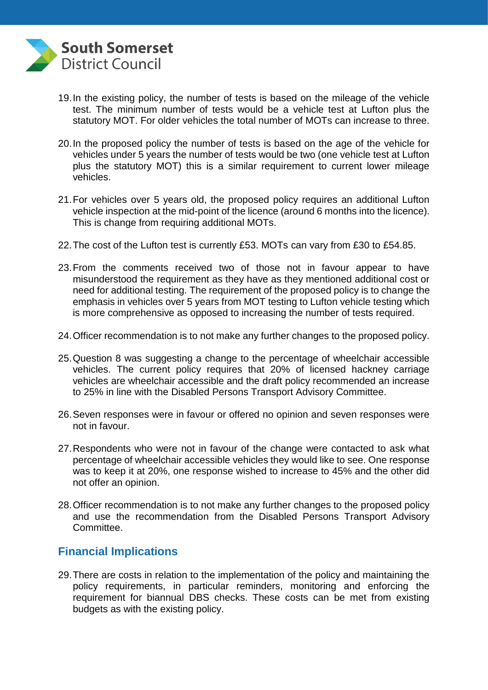

- 19.In the existing policy, the number of tests is based on the mileage of the vehicle test. The minimum number of tests would be a vehicle test at Lufton plus the statutory MOT. For older vehicles the total number of MOTs can increase to three.
- 20.In the proposed policy the number of tests is based on the age of the vehicle for vehicles under 5 years the number of tests would be two (one vehicle test at Lufton plus the statutory MOT) this is a similar requirement to current lower mileage vehicles.
- 21.For vehicles over 5 years old, the proposed policy requires an additional Lufton vehicle inspection at the mid-point of the licence (around 6 months into the licence). This is change from requiring additional MOTs.
- 22.The cost of the Lufton test is currently £53. MOTs can vary from £30 to £54.85.
- 23.From the comments received two of those not in favour appear to have misunderstood the requirement as they have as they mentioned additional cost or need for additional testing. The requirement of the proposed policy is to change the emphasis in vehicles over 5 years from MOT testing to Lufton vehicle testing which is more comprehensive as opposed to increasing the number of tests required.
- 24.Officer recommendation is to not make any further changes to the proposed policy.
- 25.Question 8 was suggesting a change to the percentage of wheelchair accessible vehicles. The current policy requires that 20% of licensed hackney carriage vehicles are wheelchair accessible and the draft policy recommended an increase to 25% in line with the Disabled Persons Transport Advisory Committee.
- 26.Seven responses were in favour or offered no opinion and seven responses were not in favour.
- 27.Respondents who were not in favour of the change were contacted to ask what percentage of wheelchair accessible vehicles they would like to see. One response was to keep it at 20%, one response wished to increase to 45% and the other did not offer an opinion.
- 28.Officer recommendation is to not make any further changes to the proposed policy and use the recommendation from the Disabled Persons Transport Advisory Committee.

#### **Financial Implications**

29.There are costs in relation to the implementation of the policy and maintaining the policy requirements, in particular reminders, monitoring and enforcing the requirement for biannual DBS checks. These costs can be met from existing budgets as with the existing policy.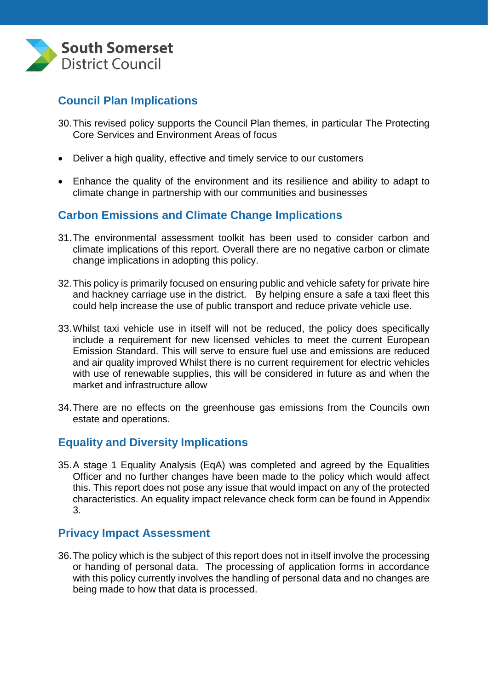

# **Council Plan Implications**

- 30.This revised policy supports the Council Plan themes, in particular The Protecting Core Services and Environment Areas of focus
- Deliver a high quality, effective and timely service to our customers
- Enhance the quality of the environment and its resilience and ability to adapt to climate change in partnership with our communities and businesses

## **Carbon Emissions and Climate Change Implications**

- 31.The environmental assessment toolkit has been used to consider carbon and climate implications of this report. Overall there are no negative carbon or climate change implications in adopting this policy.
- 32.This policy is primarily focused on ensuring public and vehicle safety for private hire and hackney carriage use in the district. By helping ensure a safe a taxi fleet this could help increase the use of public transport and reduce private vehicle use.
- 33.Whilst taxi vehicle use in itself will not be reduced, the policy does specifically include a requirement for new licensed vehicles to meet the current European Emission Standard. This will serve to ensure fuel use and emissions are reduced and air quality improved Whilst there is no current requirement for electric vehicles with use of renewable supplies, this will be considered in future as and when the market and infrastructure allow
- 34.There are no effects on the greenhouse gas emissions from the Councils own estate and operations.

#### **Equality and Diversity Implications**

35.A stage 1 Equality Analysis (EqA) was completed and agreed by the Equalities Officer and no further changes have been made to the policy which would affect this. This report does not pose any issue that would impact on any of the protected characteristics. An equality impact relevance check form can be found in Appendix 3.

#### **Privacy Impact Assessment**

36.The policy which is the subject of this report does not in itself involve the processing or handing of personal data. The processing of application forms in accordance with this policy currently involves the handling of personal data and no changes are being made to how that data is processed.